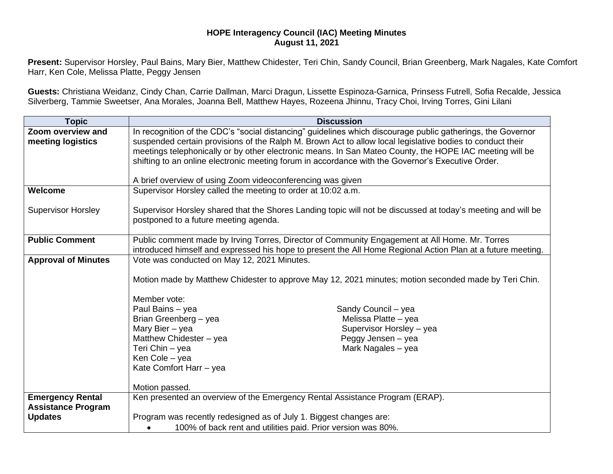## **HOPE Interagency Council (IAC) Meeting Minutes August 11, 2021**

**Present:** Supervisor Horsley, Paul Bains, Mary Bier, Matthew Chidester, Teri Chin, Sandy Council, Brian Greenberg, Mark Nagales, Kate Comfort Harr, Ken Cole, Melissa Platte, Peggy Jensen

**Guests:** Christiana Weidanz, Cindy Chan, Carrie Dallman, Marci Dragun, Lissette Espinoza-Garnica, Prinsess Futrell, Sofia Recalde, Jessica Silverberg, Tammie Sweetser, Ana Morales, Joanna Bell, Matthew Hayes, Rozeena Jhinnu, Tracy Choi, Irving Torres, Gini Lilani

| <b>Topic</b>                           | <b>Discussion</b>                                                                                                                                                                                                                                                                                                                                                                                                                                                       |
|----------------------------------------|-------------------------------------------------------------------------------------------------------------------------------------------------------------------------------------------------------------------------------------------------------------------------------------------------------------------------------------------------------------------------------------------------------------------------------------------------------------------------|
| Zoom overview and<br>meeting logistics | In recognition of the CDC's "social distancing" guidelines which discourage public gatherings, the Governor<br>suspended certain provisions of the Ralph M. Brown Act to allow local legislative bodies to conduct their<br>meetings telephonically or by other electronic means. In San Mateo County, the HOPE IAC meeting will be<br>shifting to an online electronic meeting forum in accordance with the Governor's Executive Order.                                |
|                                        | A brief overview of using Zoom videoconferencing was given                                                                                                                                                                                                                                                                                                                                                                                                              |
| Welcome                                | Supervisor Horsley called the meeting to order at 10:02 a.m.                                                                                                                                                                                                                                                                                                                                                                                                            |
| <b>Supervisor Horsley</b>              | Supervisor Horsley shared that the Shores Landing topic will not be discussed at today's meeting and will be<br>postponed to a future meeting agenda.                                                                                                                                                                                                                                                                                                                   |
| <b>Public Comment</b>                  | Public comment made by Irving Torres, Director of Community Engagement at All Home. Mr. Torres<br>introduced himself and expressed his hope to present the All Home Regional Action Plan at a future meeting.                                                                                                                                                                                                                                                           |
| <b>Approval of Minutes</b>             | Vote was conducted on May 12, 2021 Minutes.<br>Motion made by Matthew Chidester to approve May 12, 2021 minutes; motion seconded made by Teri Chin.<br>Member vote:<br>Paul Bains - yea<br>Sandy Council - yea<br>Brian Greenberg - yea<br>Melissa Platte - yea<br>Mary Bier - yea<br>Supervisor Horsley - yea<br>Peggy Jensen - yea<br>Matthew Chidester - yea<br>Teri Chin - yea<br>Mark Nagales - yea<br>Ken Cole - yea<br>Kate Comfort Harr - yea<br>Motion passed. |
| <b>Emergency Rental</b>                | Ken presented an overview of the Emergency Rental Assistance Program (ERAP).                                                                                                                                                                                                                                                                                                                                                                                            |
| <b>Assistance Program</b>              |                                                                                                                                                                                                                                                                                                                                                                                                                                                                         |
| <b>Updates</b>                         | Program was recently redesigned as of July 1. Biggest changes are:                                                                                                                                                                                                                                                                                                                                                                                                      |
|                                        | 100% of back rent and utilities paid. Prior version was 80%.                                                                                                                                                                                                                                                                                                                                                                                                            |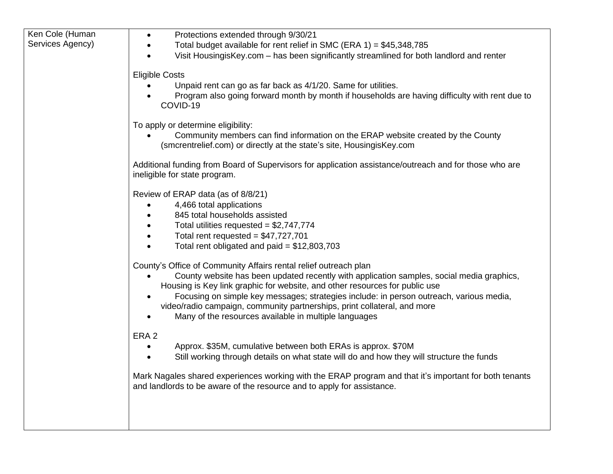| Ken Cole (Human<br>Services Agency) | Protections extended through 9/30/21<br>$\bullet$<br>Total budget available for rent relief in SMC (ERA 1) = $$45,348,785$<br>$\bullet$                                                                                                                                                                                                                                                                                                                                      |
|-------------------------------------|------------------------------------------------------------------------------------------------------------------------------------------------------------------------------------------------------------------------------------------------------------------------------------------------------------------------------------------------------------------------------------------------------------------------------------------------------------------------------|
|                                     | Visit HousingisKey.com - has been significantly streamlined for both landlord and renter                                                                                                                                                                                                                                                                                                                                                                                     |
|                                     | <b>Eligible Costs</b>                                                                                                                                                                                                                                                                                                                                                                                                                                                        |
|                                     | Unpaid rent can go as far back as 4/1/20. Same for utilities.<br>Program also going forward month by month if households are having difficulty with rent due to<br>COVID-19                                                                                                                                                                                                                                                                                                  |
|                                     | To apply or determine eligibility:<br>Community members can find information on the ERAP website created by the County<br>(smcrentrelief.com) or directly at the state's site, HousingisKey.com                                                                                                                                                                                                                                                                              |
|                                     | Additional funding from Board of Supervisors for application assistance/outreach and for those who are<br>ineligible for state program.                                                                                                                                                                                                                                                                                                                                      |
|                                     | Review of ERAP data (as of 8/8/21)<br>4,466 total applications<br>845 total households assisted<br>Total utilities requested = $$2,747,774$<br>Total rent requested = $$47,727,701$<br>Total rent obligated and paid = $$12,803,703$                                                                                                                                                                                                                                         |
|                                     | County's Office of Community Affairs rental relief outreach plan<br>County website has been updated recently with application samples, social media graphics,<br>Housing is Key link graphic for website, and other resources for public use<br>Focusing on simple key messages; strategies include: in person outreach, various media,<br>video/radio campaign, community partnerships, print collateral, and more<br>Many of the resources available in multiple languages |
|                                     | ERA <sub>2</sub><br>Approx. \$35M, cumulative between both ERAs is approx. \$70M<br>$\bullet$<br>Still working through details on what state will do and how they will structure the funds<br>$\bullet$                                                                                                                                                                                                                                                                      |
|                                     | Mark Nagales shared experiences working with the ERAP program and that it's important for both tenants<br>and landlords to be aware of the resource and to apply for assistance.                                                                                                                                                                                                                                                                                             |
|                                     |                                                                                                                                                                                                                                                                                                                                                                                                                                                                              |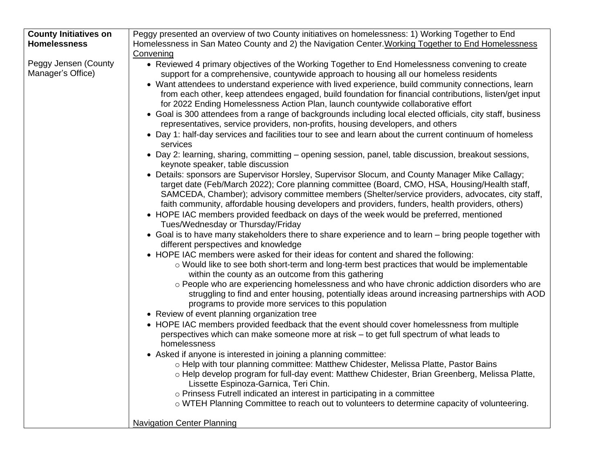| <b>County Initiatives on</b> | Peggy presented an overview of two County initiatives on homelessness: 1) Working Together to End                                                                                                                                                      |
|------------------------------|--------------------------------------------------------------------------------------------------------------------------------------------------------------------------------------------------------------------------------------------------------|
| <b>Homelessness</b>          | Homelessness in San Mateo County and 2) the Navigation Center. Working Together to End Homelessness                                                                                                                                                    |
|                              | Convening                                                                                                                                                                                                                                              |
| Peggy Jensen (County         | • Reviewed 4 primary objectives of the Working Together to End Homelessness convening to create                                                                                                                                                        |
| Manager's Office)            | support for a comprehensive, countywide approach to housing all our homeless residents                                                                                                                                                                 |
|                              | • Want attendees to understand experience with lived experience, build community connections, learn                                                                                                                                                    |
|                              | from each other, keep attendees engaged, build foundation for financial contributions, listen/get input                                                                                                                                                |
|                              | for 2022 Ending Homelessness Action Plan, launch countywide collaborative effort                                                                                                                                                                       |
|                              | • Goal is 300 attendees from a range of backgrounds including local elected officials, city staff, business<br>representatives, service providers, non-profits, housing developers, and others                                                         |
|                              | • Day 1: half-day services and facilities tour to see and learn about the current continuum of homeless<br>services                                                                                                                                    |
|                              | • Day 2: learning, sharing, committing – opening session, panel, table discussion, breakout sessions,<br>keynote speaker, table discussion                                                                                                             |
|                              | • Details: sponsors are Supervisor Horsley, Supervisor Slocum, and County Manager Mike Callagy;<br>target date (Feb/March 2022); Core planning committee (Board, CMO, HSA, Housing/Health staff,                                                       |
|                              | SAMCEDA, Chamber); advisory committee members (Shelter/service providers, advocates, city staff,                                                                                                                                                       |
|                              | faith community, affordable housing developers and providers, funders, health providers, others)                                                                                                                                                       |
|                              | • HOPE IAC members provided feedback on days of the week would be preferred, mentioned<br>Tues/Wednesday or Thursday/Friday                                                                                                                            |
|                              | • Goal is to have many stakeholders there to share experience and to learn - bring people together with<br>different perspectives and knowledge                                                                                                        |
|                              | • HOPE IAC members were asked for their ideas for content and shared the following:                                                                                                                                                                    |
|                              | o Would like to see both short-term and long-term best practices that would be implementable<br>within the county as an outcome from this gathering                                                                                                    |
|                              | o People who are experiencing homelessness and who have chronic addiction disorders who are<br>struggling to find and enter housing, potentially ideas around increasing partnerships with AOD<br>programs to provide more services to this population |
|                              | • Review of event planning organization tree                                                                                                                                                                                                           |
|                              | • HOPE IAC members provided feedback that the event should cover homelessness from multiple                                                                                                                                                            |
|                              | perspectives which can make someone more at risk – to get full spectrum of what leads to<br>homelessness                                                                                                                                               |
|                              | • Asked if anyone is interested in joining a planning committee:                                                                                                                                                                                       |
|                              | o Help with tour planning committee: Matthew Chidester, Melissa Platte, Pastor Bains                                                                                                                                                                   |
|                              | o Help develop program for full-day event: Matthew Chidester, Brian Greenberg, Melissa Platte,<br>Lissette Espinoza-Garnica, Teri Chin.                                                                                                                |
|                              | o Prinsess Futrell indicated an interest in participating in a committee                                                                                                                                                                               |
|                              | o WTEH Planning Committee to reach out to volunteers to determine capacity of volunteering.                                                                                                                                                            |
|                              | <b>Navigation Center Planning</b>                                                                                                                                                                                                                      |
|                              |                                                                                                                                                                                                                                                        |